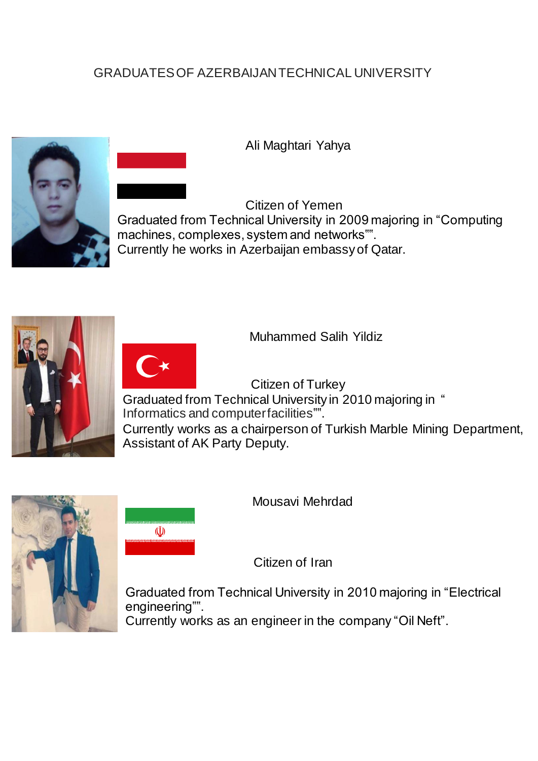## GRADUATES OF AZERBAIJAN TECHNICAL UNIVERSITY



Ali Maghtari Yahya

Citizen of Yemen Graduated from Technical University in 2009 majoring in "Computing machines, complexes, system and networks"". Currently he works in Azerbaijan embassy of Qatar.





 $\tilde{U}$ 

Muhammed Salih Yildiz

 Citizen of Turkey Graduated from Technical University in 2010 majoring in " Currently works as a chairperson of Turkish Marble Mining Department, Assistant of AK Party Deputy. Informatics and computerfacilities"".



Mousavi Mehrdad

Citizen of Iran

Graduated from Technical University in 2010 majoring in "Electrical engineering"".

Currently works as an engineer in the company "Oil Neft".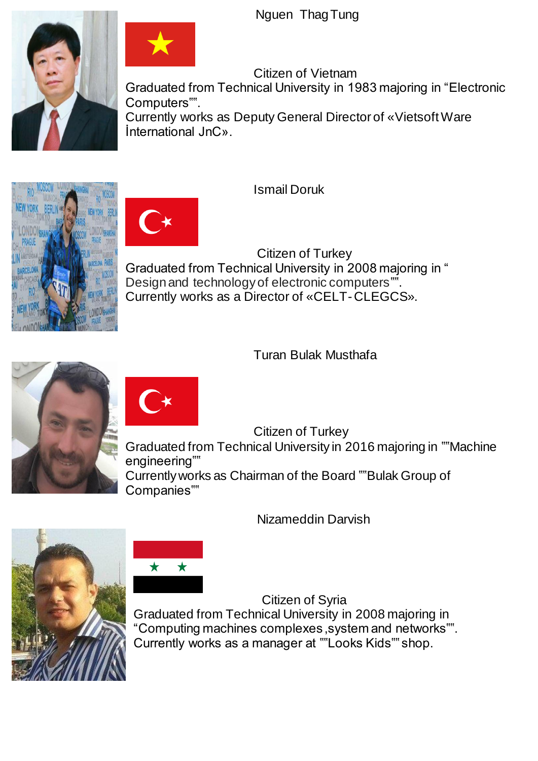Nguen ThagTung





Citizen of Vietnam Graduated from Technical University in 1983 majoring in "Electronic Computers"". Currently works as Deputy General Director of «Vietsoft Ware İnternational JnC».

Ismail Doruk

Citizen of Turkey Graduated from Technical University in 2008 majoring in " Design and technology of electronic computers". Currently works as a Director of «CELT-CLEGCS».

Turan Bulak Musthafa





Citizen of Turkey Graduated from Technical University in 2016 majoring in ""Machine engineering"" Currently works as Chairman of the Board ""Bulak Group of Companies""

Nizameddin Darvish





Citizen of Syria Graduated from Technical University in 2008 majoring in "Computing machines complexes ,system and networks"". Currently works as a manager at ""Looks Kids"" shop.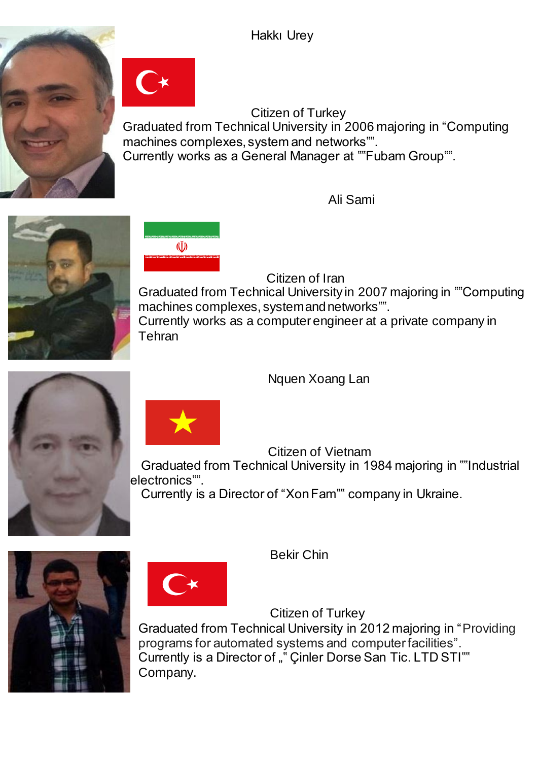Hakkı Urey

Citizen of Turkey Graduated from Technical University in 2006 majoring in "Computing machines complexes, system and networks"". Currently works as a General Manager at ""Fubam Group"".

Ali Sami





Citizen of Iran

Graduated from Technical University in 2007 majoring in ""Computing machines complexes, systemand networks"". Currently works as a computer engineer at a private company in Tehran

Nquen Xoang Lan



Citizen of Vietnam

Graduated from Technical University in 1984 majoring in ""Industrial electronics"".

Currently is a Director of "Xon Fam"" company in Ukraine.





Bekir Chin

Citizen of Turkey Graduated from Technical University in 2012 majoring in "Providing programs for automated systems and computer facilities". Currently is a Director of "" Cinler Dorse San Tic. LTD STI"" Company.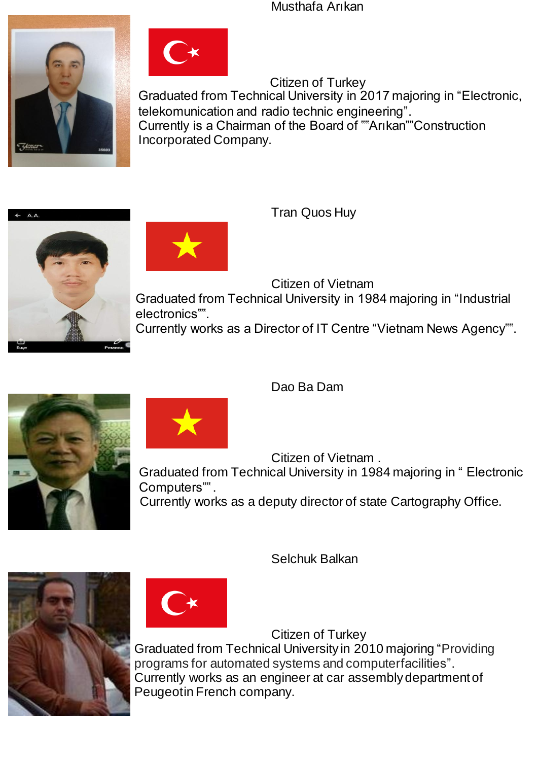Musthafa Arıkan





Citizen of Turkey Graduated from Technical University in 2017 majoring in "Electronic, telekomunication and radio technic engineering". Currently is a Chairman of the Board of ""Arıkan""Construction Incorporated Company.



Tran Quos Huy

Citizen of Vietnam

Graduated from Technical University in 1984 majoring in "Industrial electronics"".

Currently works as a Director of IT Centre "Vietnam News Agency"".



Dao Ba Dam

Citizen of Vietnam .

Graduated from Technical University in 1984 majoring in " Electronic Computers"".

Currently works as a deputy director of state Cartography Office.

Selchuk Balkan



Citizen of Turkey

Graduated from Technical University in 2010 majoring "Providing programs for automated systems and computerfacilities". Currently works as an engineer at car assembly department of Peugeotin French company.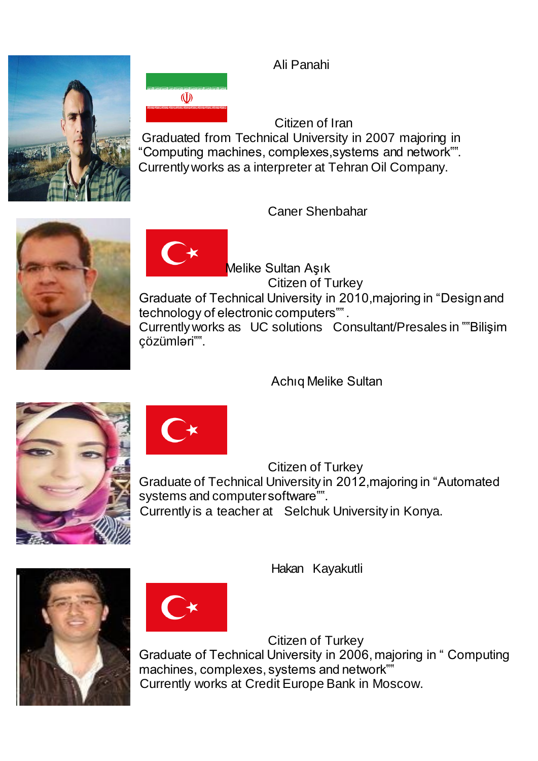Ali Panahi

Citizen of Iran Graduated from Technical University in 2007 majoring in "Computing machines, complexes,systems and network"". Currently works as a interpreter at Tehran Oil Company.

Caner Shenbahar

Melike Sultan Aşık Citizen of Turkey Graduate of Technical University in 2010,majoring in "Design and technology of electronic computers"" . Currently works as UC solutions Consultant/Presales in ""Bilişim çözümləri"".

Achıq Melike Sultan

Citizen of Turkey Graduate of Technical University in 2012,majoring in "Automated systems and computersoftware"". Currently is a teacher at Selchuk University in Konya.

Hakan Kayakutli

Citizen of Turkey Graduate of Technical University in 2006, majoring in " Computing machines, complexes, systems and network"" Currently works at Credit Europe Bank in Moscow.





 $\tilde{U}$ 







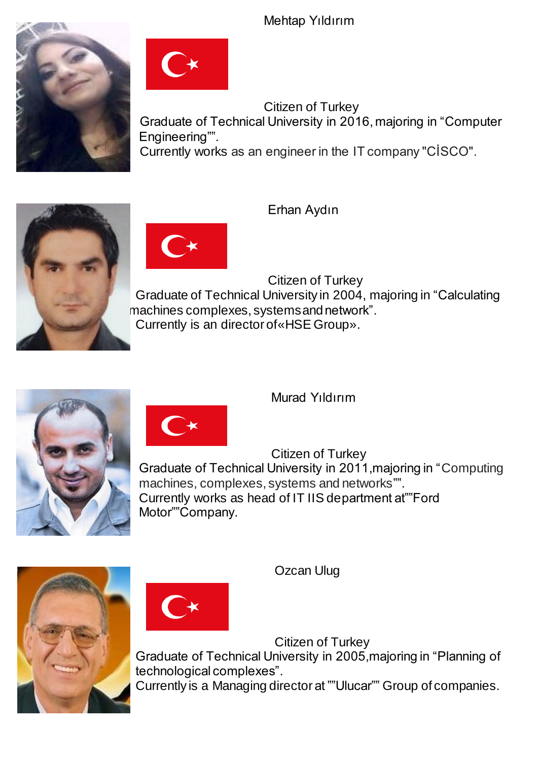Mehtaр Yıldırım





Citizen of Turkey Graduate of Technical University in 2016, majoring in "Computer Engineering"". Currently works as an engineer in the IT company "CİSCO".





Erhan Aydın

Citizen of Turkey Graduate of Technical University in 2004, majoring in "Calculating machines complexes, systemsand network". Currently is an director of«HSE Group».





Мurad Yıldırım

Citizen of Turkey Graduate of Technical University in 2011,majoring in "Computing machines, complexes, systems and networks"". Currently works as head of IT IIS department at""Ford Motor""Company.



Ozcan Ulug

Citizen of Turkey

Graduate of Technical University in 2005,majoring in "Planning of technological complexes".

Currently is a Managing director at ""Ulucar"" Group of companies.